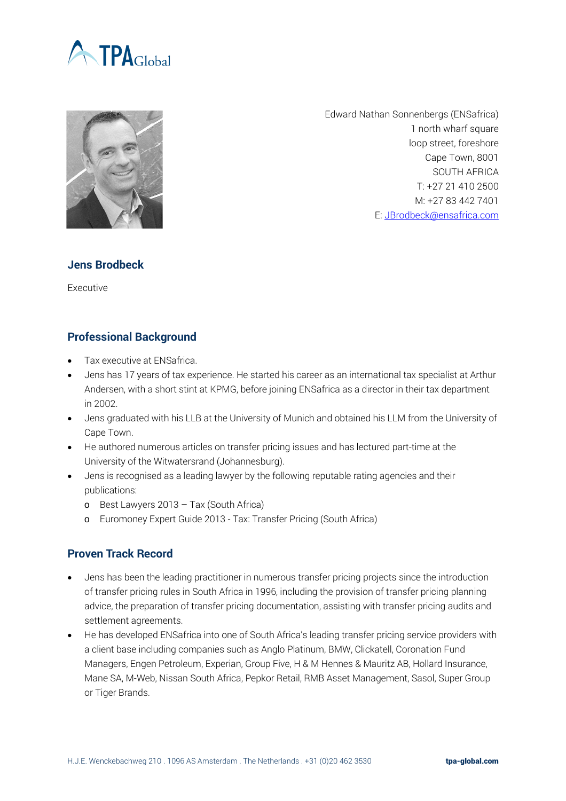



Edward Nathan Sonnenbergs (ENSafrica) 1 north wharf square loop street, foreshore Cape Town, 8001 SOUTH AFRICA T: +27 21 410 2500 M: +27 83 442 7401 E: [JBrodbeck@ensafrica.com](mailto:JBrodbeck@ensafrica.com)

## **Jens Brodbeck**

Executive

## **Professional Background**

- Tax executive at ENSafrica.
- Jens has 17 years of tax experience. He started his career as an international tax specialist at Arthur Andersen, with a short stint at KPMG, before joining ENSafrica as a director in their tax department in 2002.
- Jens graduated with his LLB at the University of Munich and obtained his LLM from the University of Cape Town.
- He authored numerous articles on transfer pricing issues and has lectured part-time at the University of the Witwatersrand (Johannesburg).
- Jens is recognised as a leading lawyer by the following reputable rating agencies and their publications:
	- o Best Lawyers 2013 Tax (South Africa)
	- o Euromoney Expert Guide 2013 Tax: Transfer Pricing (South Africa)

## **Proven Track Record**

- Jens has been the leading practitioner in numerous transfer pricing projects since the introduction of transfer pricing rules in South Africa in 1996, including the provision of transfer pricing planning advice, the preparation of transfer pricing documentation, assisting with transfer pricing audits and settlement agreements.
- He has developed ENSafrica into one of South Africa's leading transfer pricing service providers with a client base including companies such as Anglo Platinum, BMW, Clickatell, Coronation Fund Managers, Engen Petroleum, Experian, Group Five, H & M Hennes & Mauritz AB, Hollard Insurance, Mane SA, M-Web, Nissan South Africa, Pepkor Retail, RMB Asset Management, Sasol, Super Group or Tiger Brands.